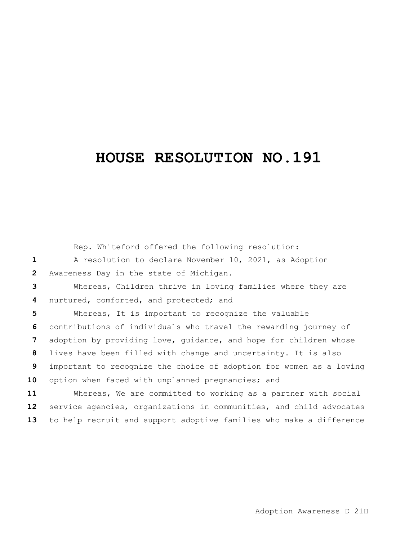## **HOUSE RESOLUTION NO.191**

|                 | Rep. Whiteford offered the following resolution:                    |
|-----------------|---------------------------------------------------------------------|
| 1               | A resolution to declare November 10, 2021, as Adoption              |
| $\overline{2}$  | Awareness Day in the state of Michigan.                             |
| 3               | Whereas, Children thrive in loving families where they are          |
| 4               | nurtured, comforted, and protected; and                             |
| 5               | Whereas, It is important to recognize the valuable                  |
| 6               | contributions of individuals who travel the rewarding journey of    |
| $\overline{7}$  | adoption by providing love, guidance, and hope for children whose   |
| 8               | lives have been filled with change and uncertainty. It is also      |
| 9               | important to recognize the choice of adoption for women as a loving |
| 10              | option when faced with unplanned pregnancies; and                   |
| 11              | Whereas, We are committed to working as a partner with social       |
| 12 <sub>2</sub> | service agencies, organizations in communities, and child advocates |
| 13              | to help recruit and support adoptive families who make a difference |